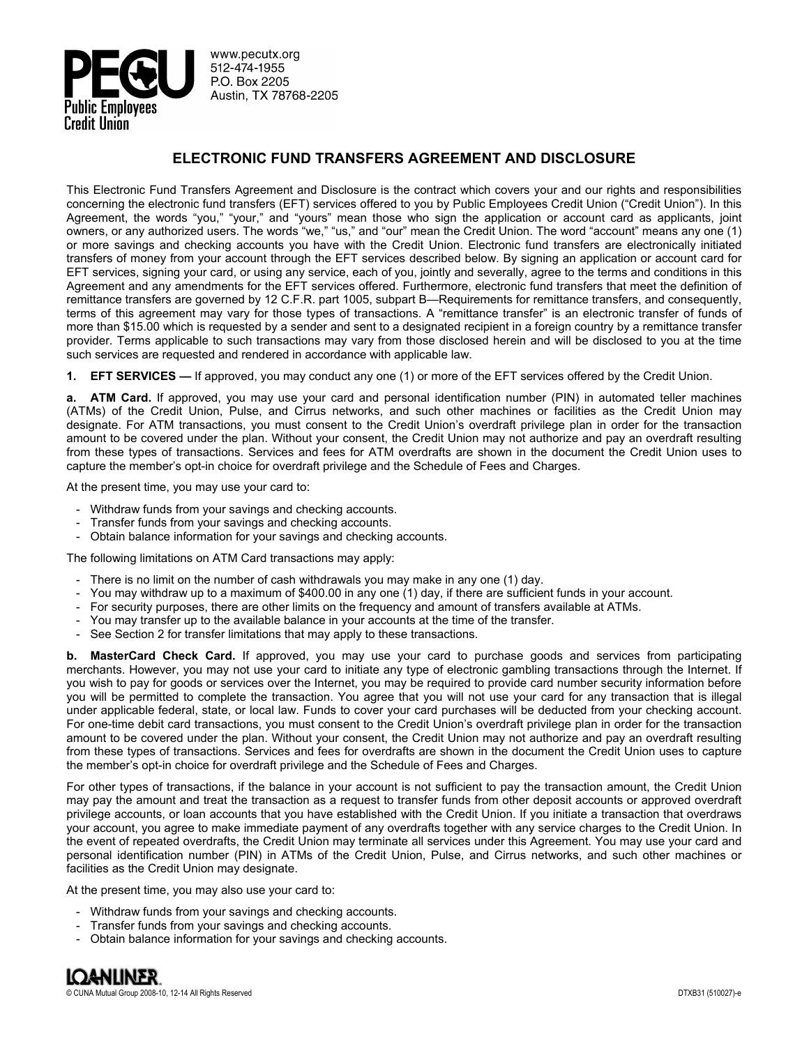

www.pecutx.org 512-474-1955 P.O. Box 2205 Austin, TX 78768-2205

# **ELECTRONIC FUND TRANSFERS AGREEMENT AND DISCLOSURE**

This Electronic Fund Transfers Agreement and Disclosure is the contract which covers your and our rights and responsibilities concerning the electronic fund transfers (EFT) services offered to you by Public Employees Credit Union ("Credit Union"). In this Agreement, the words "you," "your," and "yours" mean those who sign the application or account card as applicants, joint owners, or any authorized users. The words "we," "us," and "our" mean the Credit Union. The word "account" means any one (1) or more savings and checking accounts you have with the Credit Union. Electronic fund transfers are electronically initiated transfers of money from your account through the EFT services described below. By signing an application or account card for EFT services, signing your card, or using any service, each of you, jointly and severally, agree to the terms and conditions in this Agreement and any amendments for the EFT services offered. Furthermore, electronic fund transfers that meet the definition of remittance transfers are governed by 12 C.F.R. part 1005, subpart B—Requirements for remittance transfers, and consequently, terms of this agreement may vary for those types of transactions. A "remittance transfer" is an electronic transfer of funds of more than \$15.00 which is requested by a sender and sent to a designated recipient in a foreign country by a remittance transfer provider. Terms applicable to such transactions may vary from those disclosed herein and will be disclosed to you at the time such services are requested and rendered in accordance with applicable law.

**1. EFT SERVICES —** If approved, you may conduct any one (1) or more of the EFT services offered by the Credit Union.

**a. ATM Card.** If approved, you may use your card and personal identification number (PIN) in automated teller machines (ATMs) of the Credit Union, Pulse, and Cirrus networks, and such other machines or facilities as the Credit Union may designate. For ATM transactions, you must consent to the Credit Union's overdraft privilege plan in order for the transaction amount to be covered under the plan. Without your consent, the Credit Union may not authorize and pay an overdraft resulting from these types of transactions. Services and fees for ATM overdrafts are shown in the document the Credit Union uses to capture the member's opt-in choice for overdraft privilege and the Schedule of Fees and Charges.

At the present time, you may use your card to:

- Withdraw funds from your savings and checking accounts.
- Transfer funds from your savings and checking accounts.
- Obtain balance information for your savings and checking accounts.

The following limitations on ATM Card transactions may apply:

- There is no limit on the number of cash withdrawals you may make in any one (1) day.
- You may withdraw up to a maximum of \$400.00 in any one (1) day, if there are sufficient funds in your account.
- For security purposes, there are other limits on the frequency and amount of transfers available at ATMs.
- You may transfer up to the available balance in your accounts at the time of the transfer.
- See Section 2 for transfer limitations that may apply to these transactions.

**b. MasterCard Check Card.** If approved, you may use your card to purchase goods and services from participating merchants. However, you may not use your card to initiate any type of electronic gambling transactions through the Internet. If you wish to pay for goods or services over the Internet, you may be required to provide card number security information before you will be permitted to complete the transaction. You agree that you will not use your card for any transaction that is illegal under applicable federal, state, or local law. Funds to cover your card purchases will be deducted from your checking account. For one-time debit card transactions, you must consent to the Credit Union's overdraft privilege plan in order for the transaction amount to be covered under the plan. Without your consent, the Credit Union may not authorize and pay an overdraft resulting from these types of transactions. Services and fees for overdrafts are shown in the document the Credit Union uses to capture the member's opt-in choice for overdraft privilege and the Schedule of Fees and Charges.

For other types of transactions, if the balance in your account is not sufficient to pay the transaction amount, the Credit Union may pay the amount and treat the transaction as a request to transfer funds from other deposit accounts or approved overdraft privilege accounts, or loan accounts that you have established with the Credit Union. If you initiate a transaction that overdraws your account, you agree to make immediate payment of any overdrafts together with any service charges to the Credit Union. In the event of repeated overdrafts, the Credit Union may terminate all services under this Agreement. You may use your card and personal identification number (PIN) in ATMs of the Credit Union, Pulse, and Cirrus networks, and such other machines or facilities as the Credit Union may designate.

At the present time, you may also use your card to:

- Withdraw funds from your savings and checking accounts.
- Transfer funds from your savings and checking accounts.
- Obtain balance information for your savings and checking accounts.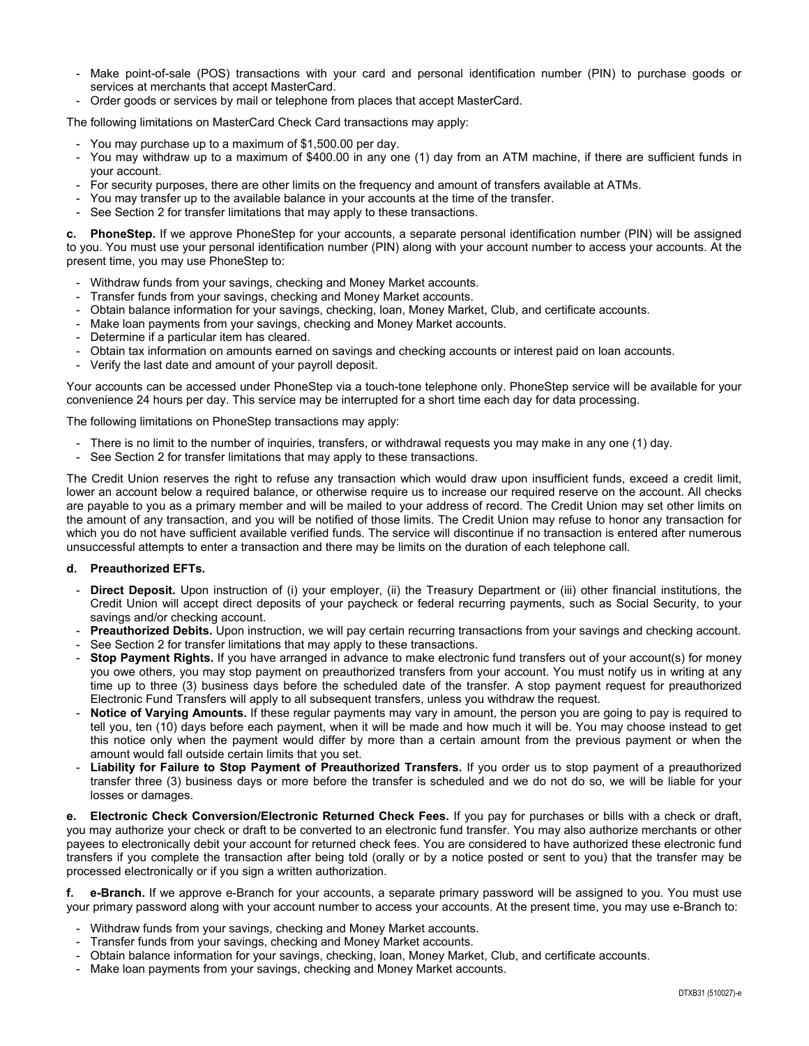- Make point-of-sale (POS) transactions with your card and personal identification number (PIN) to purchase goods or services at merchants that accept MasterCard.
- Order goods or services by mail or telephone from places that accept MasterCard.

The following limitations on MasterCard Check Card transactions may apply:

- You may purchase up to a maximum of \$1,500.00 per day.
- You may withdraw up to a maximum of \$400.00 in any one (1) day from an ATM machine, if there are sufficient funds in your account.
- For security purposes, there are other limits on the frequency and amount of transfers available at ATMs.
- You may transfer up to the available balance in your accounts at the time of the transfer.
- See Section 2 for transfer limitations that may apply to these transactions.

**c. PhoneStep.** If we approve PhoneStep for your accounts, a separate personal identification number (PIN) will be assigned to you. You must use your personal identification number (PIN) along with your account number to access your accounts. At the present time, you may use PhoneStep to:

- Withdraw funds from your savings, checking and Money Market accounts.
- Transfer funds from your savings, checking and Money Market accounts.
- Obtain balance information for your savings, checking, loan, Money Market, Club, and certificate accounts.
- Make loan payments from your savings, checking and Money Market accounts.
- Determine if a particular item has cleared.
- Obtain tax information on amounts earned on savings and checking accounts or interest paid on loan accounts.
- Verify the last date and amount of your payroll deposit.

Your accounts can be accessed under PhoneStep via a touch-tone telephone only. PhoneStep service will be available for your convenience 24 hours per day. This service may be interrupted for a short time each day for data processing.

The following limitations on PhoneStep transactions may apply:

- There is no limit to the number of inquiries, transfers, or withdrawal requests you may make in any one (1) day.
- See Section 2 for transfer limitations that may apply to these transactions.

The Credit Union reserves the right to refuse any transaction which would draw upon insufficient funds, exceed a credit limit, lower an account below a required balance, or otherwise require us to increase our required reserve on the account. All checks are payable to you as a primary member and will be mailed to your address of record. The Credit Union may set other limits on the amount of any transaction, and you will be notified of those limits. The Credit Union may refuse to honor any transaction for which you do not have sufficient available verified funds. The service will discontinue if no transaction is entered after numerous unsuccessful attempts to enter a transaction and there may be limits on the duration of each telephone call.

#### **d. Preauthorized EFTs.**

- **Direct Deposit.** Upon instruction of (i) your employer, (ii) the Treasury Department or (iii) other financial institutions, the Credit Union will accept direct deposits of your paycheck or federal recurring payments, such as Social Security, to your savings and/or checking account.
- **Preauthorized Debits.** Upon instruction, we will pay certain recurring transactions from your savings and checking account.
- See Section 2 for transfer limitations that may apply to these transactions.
- **Stop Payment Rights.** If you have arranged in advance to make electronic fund transfers out of your account(s) for money you owe others, you may stop payment on preauthorized transfers from your account. You must notify us in writing at any time up to three (3) business days before the scheduled date of the transfer. A stop payment request for preauthorized Electronic Fund Transfers will apply to all subsequent transfers, unless you withdraw the request.
- **Notice of Varying Amounts.** If these regular payments may vary in amount, the person you are going to pay is required to tell you, ten (10) days before each payment, when it will be made and how much it will be. You may choose instead to get this notice only when the payment would differ by more than a certain amount from the previous payment or when the amount would fall outside certain limits that you set.
- **Liability for Failure to Stop Payment of Preauthorized Transfers.** If you order us to stop payment of a preauthorized transfer three (3) business days or more before the transfer is scheduled and we do not do so, we will be liable for your losses or damages.

**e. Electronic Check Conversion/Electronic Returned Check Fees.** If you pay for purchases or bills with a check or draft, you may authorize your check or draft to be converted to an electronic fund transfer. You may also authorize merchants or other payees to electronically debit your account for returned check fees. You are considered to have authorized these electronic fund transfers if you complete the transaction after being told (orally or by a notice posted or sent to you) that the transfer may be processed electronically or if you sign a written authorization.

**f. e-Branch.** If we approve e-Branch for your accounts, a separate primary password will be assigned to you. You must use your primary password along with your account number to access your accounts. At the present time, you may use e-Branch to:

- Withdraw funds from your savings, checking and Money Market accounts.
- Transfer funds from your savings, checking and Money Market accounts.
- Obtain balance information for your savings, checking, loan, Money Market, Club, and certificate accounts.
- Make loan payments from your savings, checking and Money Market accounts.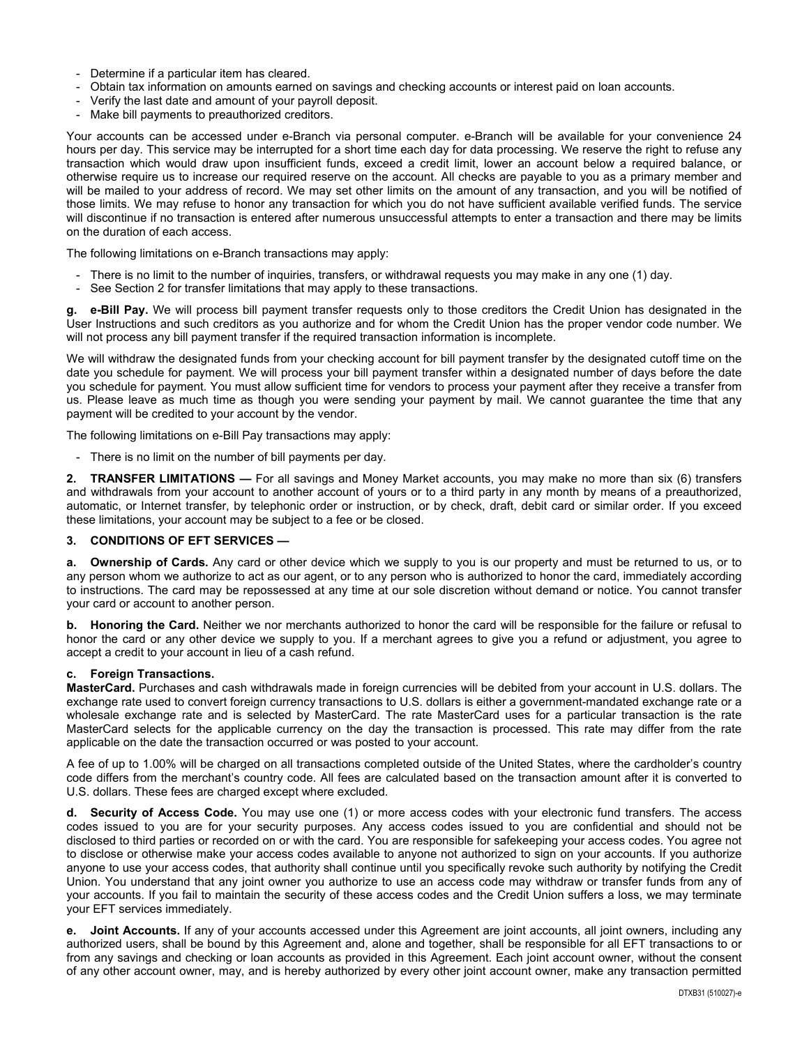- Determine if a particular item has cleared.
- Obtain tax information on amounts earned on savings and checking accounts or interest paid on loan accounts.
- Verify the last date and amount of your payroll deposit.
- Make bill payments to preauthorized creditors.

Your accounts can be accessed under e-Branch via personal computer. e-Branch will be available for your convenience 24 hours per day. This service may be interrupted for a short time each day for data processing. We reserve the right to refuse any transaction which would draw upon insufficient funds, exceed a credit limit, lower an account below a required balance, or otherwise require us to increase our required reserve on the account. All checks are payable to you as a primary member and will be mailed to your address of record. We may set other limits on the amount of any transaction, and you will be notified of those limits. We may refuse to honor any transaction for which you do not have sufficient available verified funds. The service will discontinue if no transaction is entered after numerous unsuccessful attempts to enter a transaction and there may be limits on the duration of each access.

The following limitations on e-Branch transactions may apply:

- There is no limit to the number of inquiries, transfers, or withdrawal requests you may make in any one (1) day.
- See Section 2 for transfer limitations that may apply to these transactions.

**g. e-Bill Pay.** We will process bill payment transfer requests only to those creditors the Credit Union has designated in the User Instructions and such creditors as you authorize and for whom the Credit Union has the proper vendor code number. We will not process any bill payment transfer if the required transaction information is incomplete.

We will withdraw the designated funds from your checking account for bill payment transfer by the designated cutoff time on the date you schedule for payment. We will process your bill payment transfer within a designated number of days before the date you schedule for payment. You must allow sufficient time for vendors to process your payment after they receive a transfer from us. Please leave as much time as though you were sending your payment by mail. We cannot guarantee the time that any payment will be credited to your account by the vendor.

The following limitations on e-Bill Pay transactions may apply:

- There is no limit on the number of bill payments per day.

**2. TRANSFER LIMITATIONS —** For all savings and Money Market accounts, you may make no more than six (6) transfers and withdrawals from your account to another account of yours or to a third party in any month by means of a preauthorized, automatic, or Internet transfer, by telephonic order or instruction, or by check, draft, debit card or similar order. If you exceed these limitations, your account may be subject to a fee or be closed.

## **3. CONDITIONS OF EFT SERVICES —**

**a. Ownership of Cards.** Any card or other device which we supply to you is our property and must be returned to us, or to any person whom we authorize to act as our agent, or to any person who is authorized to honor the card, immediately according to instructions. The card may be repossessed at any time at our sole discretion without demand or notice. You cannot transfer your card or account to another person.

**b. Honoring the Card.** Neither we nor merchants authorized to honor the card will be responsible for the failure or refusal to honor the card or any other device we supply to you. If a merchant agrees to give you a refund or adjustment, you agree to accept a credit to your account in lieu of a cash refund.

#### **c. Foreign Transactions.**

**MasterCard.** Purchases and cash withdrawals made in foreign currencies will be debited from your account in U.S. dollars. The exchange rate used to convert foreign currency transactions to U.S. dollars is either a government-mandated exchange rate or a wholesale exchange rate and is selected by MasterCard. The rate MasterCard uses for a particular transaction is the rate MasterCard selects for the applicable currency on the day the transaction is processed. This rate may differ from the rate applicable on the date the transaction occurred or was posted to your account.

A fee of up to 1.00% will be charged on all transactions completed outside of the United States, where the cardholder's country code differs from the merchant's country code. All fees are calculated based on the transaction amount after it is converted to U.S. dollars. These fees are charged except where excluded.

**d. Security of Access Code.** You may use one (1) or more access codes with your electronic fund transfers. The access codes issued to you are for your security purposes. Any access codes issued to you are confidential and should not be disclosed to third parties or recorded on or with the card. You are responsible for safekeeping your access codes. You agree not to disclose or otherwise make your access codes available to anyone not authorized to sign on your accounts. If you authorize anyone to use your access codes, that authority shall continue until you specifically revoke such authority by notifying the Credit Union. You understand that any joint owner you authorize to use an access code may withdraw or transfer funds from any of your accounts. If you fail to maintain the security of these access codes and the Credit Union suffers a loss, we may terminate your EFT services immediately.

**e. Joint Accounts.** If any of your accounts accessed under this Agreement are joint accounts, all joint owners, including any authorized users, shall be bound by this Agreement and, alone and together, shall be responsible for all EFT transactions to or from any savings and checking or loan accounts as provided in this Agreement. Each joint account owner, without the consent of any other account owner, may, and is hereby authorized by every other joint account owner, make any transaction permitted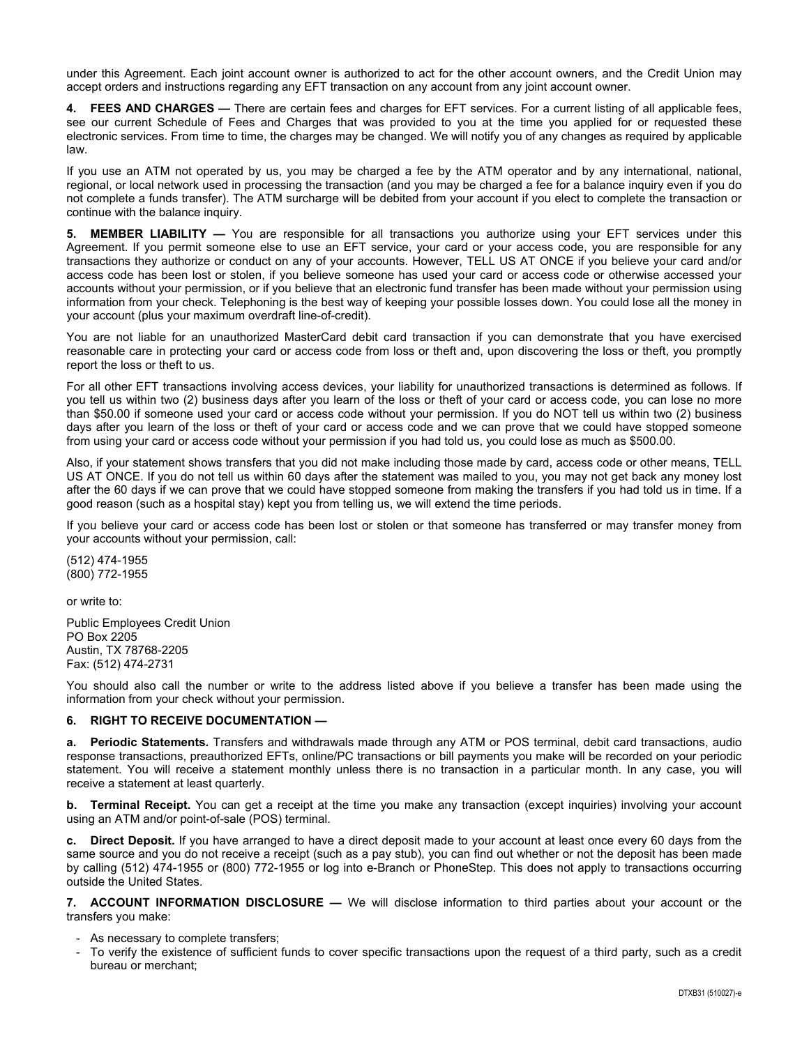under this Agreement. Each joint account owner is authorized to act for the other account owners, and the Credit Union may accept orders and instructions regarding any EFT transaction on any account from any joint account owner.

**4. FEES AND CHARGES —** There are certain fees and charges for EFT services. For a current listing of all applicable fees, see our current Schedule of Fees and Charges that was provided to you at the time you applied for or requested these electronic services. From time to time, the charges may be changed. We will notify you of any changes as required by applicable law.

If you use an ATM not operated by us, you may be charged a fee by the ATM operator and by any international, national, regional, or local network used in processing the transaction (and you may be charged a fee for a balance inquiry even if you do not complete a funds transfer). The ATM surcharge will be debited from your account if you elect to complete the transaction or continue with the balance inquiry.

**5. MEMBER LIABILITY —** You are responsible for all transactions you authorize using your EFT services under this Agreement. If you permit someone else to use an EFT service, your card or your access code, you are responsible for any transactions they authorize or conduct on any of your accounts. However, TELL US AT ONCE if you believe your card and/or access code has been lost or stolen, if you believe someone has used your card or access code or otherwise accessed your accounts without your permission, or if you believe that an electronic fund transfer has been made without your permission using information from your check. Telephoning is the best way of keeping your possible losses down. You could lose all the money in your account (plus your maximum overdraft line-of-credit).

You are not liable for an unauthorized MasterCard debit card transaction if you can demonstrate that you have exercised reasonable care in protecting your card or access code from loss or theft and, upon discovering the loss or theft, you promptly report the loss or theft to us.

For all other EFT transactions involving access devices, your liability for unauthorized transactions is determined as follows. If you tell us within two (2) business days after you learn of the loss or theft of your card or access code, you can lose no more than \$50.00 if someone used your card or access code without your permission. If you do NOT tell us within two (2) business days after you learn of the loss or theft of your card or access code and we can prove that we could have stopped someone from using your card or access code without your permission if you had told us, you could lose as much as \$500.00.

Also, if your statement shows transfers that you did not make including those made by card, access code or other means, TELL US AT ONCE. If you do not tell us within 60 days after the statement was mailed to you, you may not get back any money lost after the 60 days if we can prove that we could have stopped someone from making the transfers if you had told us in time. If a good reason (such as a hospital stay) kept you from telling us, we will extend the time periods.

If you believe your card or access code has been lost or stolen or that someone has transferred or may transfer money from your accounts without your permission, call:

(512) 474-1955 (800) 772-1955

or write to:

Public Employees Credit Union PO Box 2205 Austin, TX 78768-2205 Fax: (512) 474-2731

You should also call the number or write to the address listed above if you believe a transfer has been made using the information from your check without your permission.

## **6. RIGHT TO RECEIVE DOCUMENTATION —**

**a. Periodic Statements.** Transfers and withdrawals made through any ATM or POS terminal, debit card transactions, audio response transactions, preauthorized EFTs, online/PC transactions or bill payments you make will be recorded on your periodic statement. You will receive a statement monthly unless there is no transaction in a particular month. In any case, you will receive a statement at least quarterly.

**b.** Terminal Receipt. You can get a receipt at the time you make any transaction (except inquiries) involving your account using an ATM and/or point-of-sale (POS) terminal.

**c. Direct Deposit.** If you have arranged to have a direct deposit made to your account at least once every 60 days from the same source and you do not receive a receipt (such as a pay stub), you can find out whether or not the deposit has been made by calling (512) 474-1955 or (800) 772-1955 or log into e-Branch or PhoneStep. This does not apply to transactions occurring outside the United States.

**7. ACCOUNT INFORMATION DISCLOSURE —** We will disclose information to third parties about your account or the transfers you make:

- As necessary to complete transfers;

 - To verify the existence of sufficient funds to cover specific transactions upon the request of a third party, such as a credit bureau or merchant;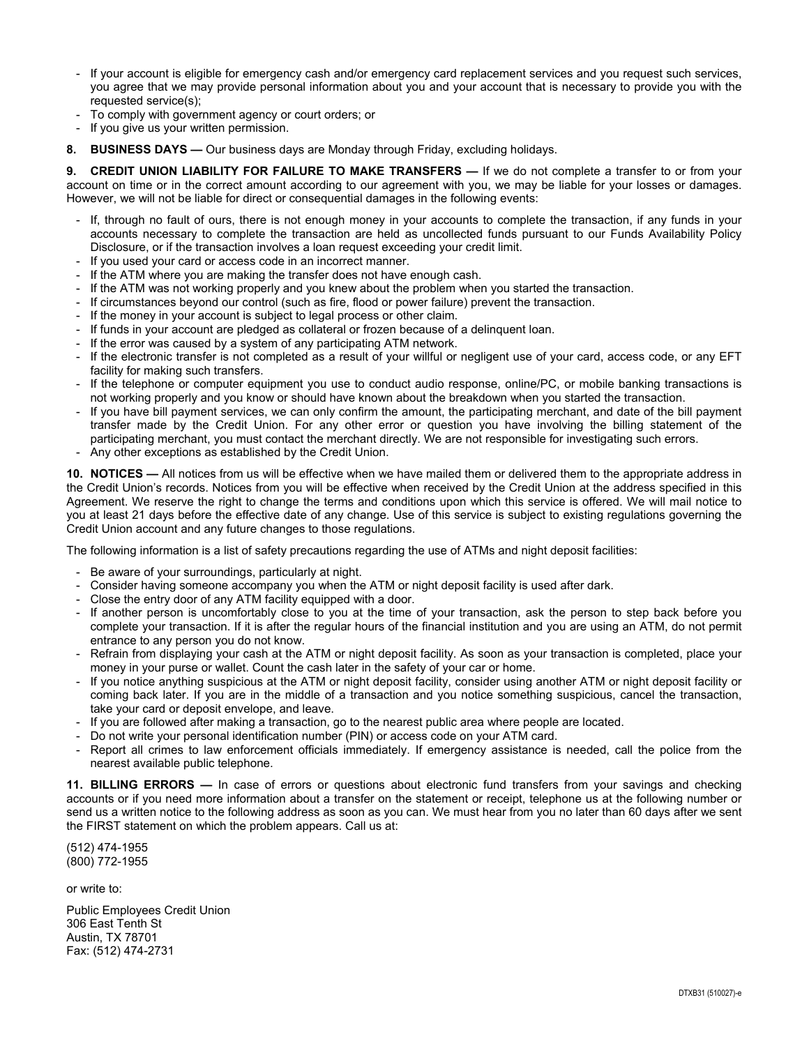- If your account is eligible for emergency cash and/or emergency card replacement services and you request such services, you agree that we may provide personal information about you and your account that is necessary to provide you with the requested service(s);
- To comply with government agency or court orders; or
- If you give us your written permission.
- **8. BUSINESS DAYS —** Our business days are Monday through Friday, excluding holidays.

**9. CREDIT UNION LIABILITY FOR FAILURE TO MAKE TRANSFERS — If we do not complete a transfer to or from your** account on time or in the correct amount according to our agreement with you, we may be liable for your losses or damages. However, we will not be liable for direct or consequential damages in the following events:

- If, through no fault of ours, there is not enough money in your accounts to complete the transaction, if any funds in your accounts necessary to complete the transaction are held as uncollected funds pursuant to our Funds Availability Policy Disclosure, or if the transaction involves a loan request exceeding your credit limit.
- If you used your card or access code in an incorrect manner.
- If the ATM where you are making the transfer does not have enough cash.
- If the ATM was not working properly and you knew about the problem when you started the transaction.
- If circumstances beyond our control (such as fire, flood or power failure) prevent the transaction.
- If the money in your account is subject to legal process or other claim.
- If funds in your account are pledged as collateral or frozen because of a delinquent loan.
- If the error was caused by a system of any participating ATM network.
- If the electronic transfer is not completed as a result of your willful or negligent use of your card, access code, or any EFT facility for making such transfers.
- If the telephone or computer equipment you use to conduct audio response, online/PC, or mobile banking transactions is not working properly and you know or should have known about the breakdown when you started the transaction.
- If you have bill payment services, we can only confirm the amount, the participating merchant, and date of the bill payment transfer made by the Credit Union. For any other error or question you have involving the billing statement of the participating merchant, you must contact the merchant directly. We are not responsible for investigating such errors.
- Any other exceptions as established by the Credit Union.

**10. NOTICES —** All notices from us will be effective when we have mailed them or delivered them to the appropriate address in the Credit Union's records. Notices from you will be effective when received by the Credit Union at the address specified in this Agreement. We reserve the right to change the terms and conditions upon which this service is offered. We will mail notice to you at least 21 days before the effective date of any change. Use of this service is subject to existing regulations governing the Credit Union account and any future changes to those regulations.

The following information is a list of safety precautions regarding the use of ATMs and night deposit facilities:

- Be aware of your surroundings, particularly at night.
- Consider having someone accompany you when the ATM or night deposit facility is used after dark.
- Close the entry door of any ATM facility equipped with a door.
- If another person is uncomfortably close to you at the time of your transaction, ask the person to step back before you complete your transaction. If it is after the regular hours of the financial institution and you are using an ATM, do not permit entrance to any person you do not know.
- Refrain from displaying your cash at the ATM or night deposit facility. As soon as your transaction is completed, place your money in your purse or wallet. Count the cash later in the safety of your car or home.
- If you notice anything suspicious at the ATM or night deposit facility, consider using another ATM or night deposit facility or coming back later. If you are in the middle of a transaction and you notice something suspicious, cancel the transaction, take your card or deposit envelope, and leave.
- If you are followed after making a transaction, go to the nearest public area where people are located.
- Do not write your personal identification number (PIN) or access code on your ATM card.
- Report all crimes to law enforcement officials immediately. If emergency assistance is needed, call the police from the nearest available public telephone.

**11. BILLING ERRORS —** In case of errors or questions about electronic fund transfers from your savings and checking accounts or if you need more information about a transfer on the statement or receipt, telephone us at the following number or send us a written notice to the following address as soon as you can. We must hear from you no later than 60 days after we sent the FIRST statement on which the problem appears. Call us at:

(512) 474-1955 (800) 772-1955

or write to:

Public Employees Credit Union 306 East Tenth St Austin, TX 78701 Fax: (512) 474-2731